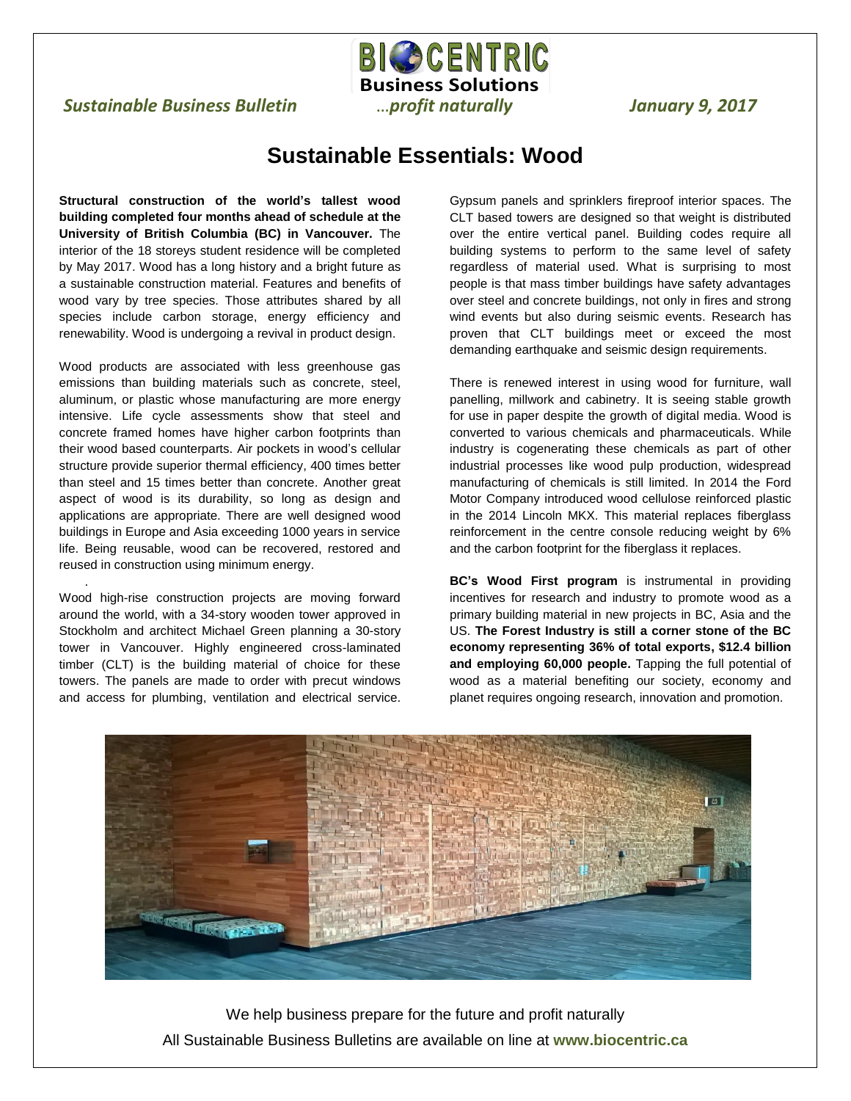## *Sustainable Business Bulletin* …*profit naturally January 9, 2017*

## **Sustainable Essentials: Wood**

 $\overline{a}$ 

**BIC CENTRIC Business Solutions**

**Structural construction of the world's tallest wood building completed four months ahead of schedule at the University of British Columbia (BC) in Vancouver.** The interior of the 18 storeys student residence will be completed by May 2017. Wood has a long history and a bright future as a sustainable construction material. Features and benefits of wood vary by tree species. Those attributes shared by all species include carbon storage, energy efficiency and renewability. Wood is undergoing a revival in product design.

Wood products are associated with less greenhouse gas emissions than building materials such as concrete, steel, aluminum, or plastic whose manufacturing are more energy intensive. Life cycle assessments show that steel and concrete framed homes have higher carbon footprints than their wood based counterparts. Air pockets in wood's cellular structure provide superior thermal efficiency, 400 times better than steel and 15 times better than concrete. Another great aspect of wood is its durability, so long as design and applications are appropriate. There are well designed wood buildings in Europe and Asia exceeding 1000 years in service life. Being reusable, wood can be recovered, restored and reused in construction using minimum energy.

Wood high-rise construction projects are moving forward around the world, with a 34-story wooden tower approved in Stockholm and architect Michael Green planning a 30-story tower in Vancouver. Highly engineered cross-laminated timber (CLT) is the building material of choice for these towers. The panels are made to order with precut windows and access for plumbing, ventilation and electrical service.

.

Gypsum panels and sprinklers fireproof interior spaces. The CLT based towers are designed so that weight is distributed over the entire vertical panel. Building codes require all building systems to perform to the same level of safety regardless of material used. What is surprising to most people is that mass timber buildings have safety advantages over steel and concrete buildings, not only in fires and strong wind events but also during seismic events. Research has proven that CLT buildings meet or exceed the most demanding earthquake and seismic design requirements.

There is renewed interest in using wood for furniture, wall panelling, millwork and cabinetry. It is seeing stable growth for use in paper despite the growth of digital media. Wood is converted to various chemicals and pharmaceuticals. While industry is cogenerating these chemicals as part of other industrial processes like wood pulp production, widespread manufacturing of chemicals is still limited. In 2014 the Ford Motor Company introduced wood cellulose reinforced plastic in the 2014 Lincoln MKX. This material replaces fiberglass reinforcement in the centre console reducing weight by 6% and the carbon footprint for the fiberglass it replaces.

**BC's Wood First program** is instrumental in providing incentives for research and industry to promote wood as a primary building material in new projects in BC, Asia and the US. **The Forest Industry is still a corner stone of the BC economy representing 36% of total exports, \$12.4 billion and employing 60,000 people.** Tapping the full potential of wood as a material benefiting our society, economy and planet requires ongoing research, innovation and promotion.



We help business prepare for the future and profit naturally All Sustainable Business Bulletins are available on line at **www.biocentric.ca**